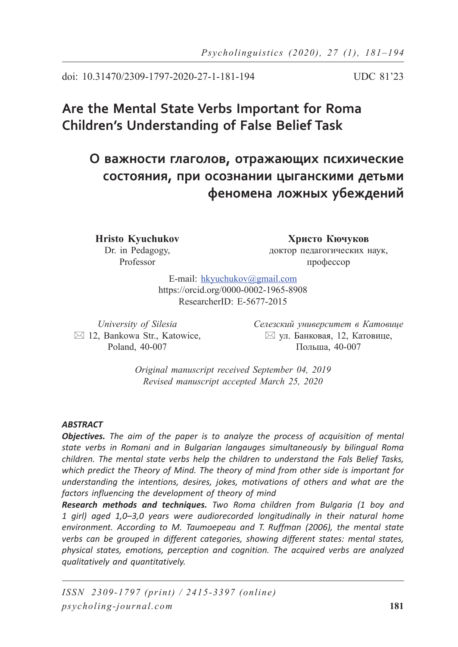doi: 10.31470/2309-1797-2020-27-1-181-194 UDC 81'23

# **Are the Mental State Verbs Important for Roma Children's Understanding of False Belief Task**

## **О важности глаголов, отражающих психические состояния, при осознании цыганскими детьми феномена ложных убеждений**

**Hristo Kyuchukov** Dr. in Pedagogy, Professor

**Христо Кючуков** доктор педагогических наук, профессор

E-mail: hkyuchukov@gmail.com https://orcid.org/0000-0002-1965-8908 ResearcherID: E-5677-2015

*University of Silesia*  $\boxtimes$  12, Bankowa Str., Katowice, Poland, 40-007

*Селезский университет в Катовице*  $\boxtimes$  ул. Банковая, 12, Катовице, Польша, 40-007

*Original manuscript received September 04, 2019 Revised manuscript accepted March 25, 2020*

#### *ABSTRACT*

*Objectives. The aim of the paper is to analyze the process of acquisition of mental state verbs in Romani and in Bulgarian langauges simultaneously by bilingual Roma children. The mental state verbs help the children to understand the Fals Belief Tasks, which predict the Theory of Mind. The theory of mind from other side is important for understanding the intentions, desires, jokes, motivations of others and what are the factors influencing the development of theory of mind*

*Research methods and techniques. Two Roma children from Bulgaria (1 boy and 1 girl) aged 1,0–3,0 years were audiorecorded longitudinally in their natural home environment. According to M. Taumoepeau and T. Ruffman (2006), the mental state verbs can be grouped in different categories, showing different states: mental states, physical states, emotions, perception and cognition. The acquired verbs are analyzed qualitatively and quantitatively.*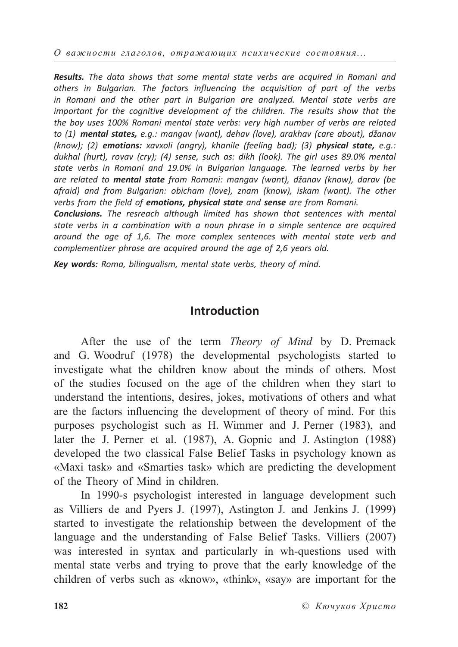*О важности глаголов, отражающих психические состояния...*

*Results. The data shows that some mental state verbs are acquired in Romani and others in Bulgarian. The factors influencing the acquisition of part of the verbs*  in Romani and the other part in Bulgarian are analyzed. Mental state verbs are *important for the cognitive development of the children. The results show that the the boy uses 100% Romani mental state verbs: very high number of verbs are related to (1) mental states, e.g.: mangav (want), dehav (love), arakhav (care about), džanav (know); (2) emotions: xavxoli (angry), khanile (feeling bad); (3) physical state, e.g.: dukhal (hurt), rovav (cry); (4) sense, such as: dikh (look). The girl uses 89.0% mental state verbs in Romani and 19.0% in Bulgarian language. The learned verbs by her are related to mental state from Romani: mangav (want), džanav (know), darav (be afraid) and from Bulgarian: obicham (love), znam (know), iskam (want). The other verbs from the field of emotions, physical state and sense are from Romani.*

*Conclusions. The resreach although limited has shown that sentences with mental state verbs in a combination with a noun phrase in a simple sentence are acquired around the age of 1,6. The more complex sentences with mental state verb and complementizer phrase are acquired around the age of 2,6 years old.*

*Key words: Roma, bilingualism, mental state verbs, theory of mind.*

### **Introduction**

After the use of the term *Theory of Mind* by D. Premack and G. Woodruf (1978) the developmental psychologists started to investigate what the children know about the minds of others. Most of the studies focused on the age of the children when they start to understand the intentions, desires, jokes, motivations of others and what are the factors influencing the development of theory of mind. For this purposes psychologist such as H. Wimmer and J. Perner (1983), and later the J. Perner et al. (1987), A. Gopnic and J. Astington (1988) developed the two classical False Belief Tasks in psychology known as «Maxi task» and «Smarties task» which are predicting the development of the Theory of Mind in children.

In 1990-s psychologist interested in language development such as Villiers de and Pyers J. (1997), Astington J. and Jenkins J. (1999) started to investigate the relationship between the development of the language and the understanding of False Belief Tasks. Villiers (2007) was interested in syntax and particularly in wh-questions used with mental state verbs and trying to prove that the early knowledge of the children of verbs such as «know», «think», «say» are important for the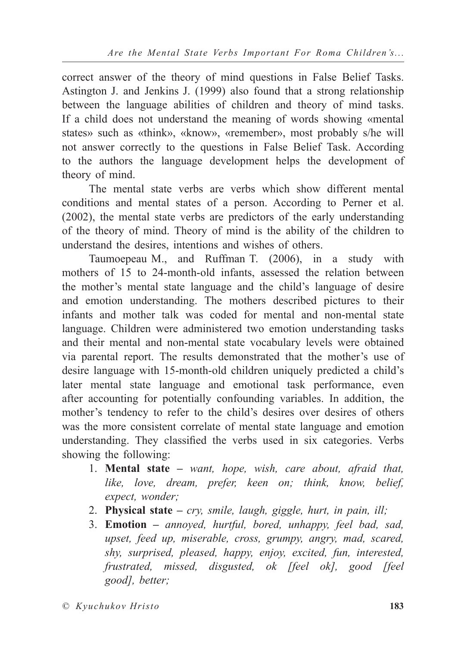correct answer of the theory of mind questions in False Belief Tasks. Astington J. and Jenkins J. (1999) also found that a strong relationship between the language abilities of children and theory of mind tasks. If a child does not understand the meaning of words showing «mental states» such as «think», «know», «remember», most probably s/he will not answer correctly to the questions in False Belief Task. According to the authors the language development helps the development of theory of mind.

The mental state verbs are verbs which show different mental conditions and mental states of a person. According to Perner et al. (2002), the mental state verbs are predictors of the early understanding of the theory of mind. Theory of mind is the ability of the children to understand the desires, intentions and wishes of others.

Taumoepeau M., and Ruffman T. (2006), in a study with mothers of 15 to 24-month-old infants, assessed the relation between the mother's mental state language and the child's language of desire and emotion understanding. The mothers described pictures to their infants and mother talk was coded for mental and non-mental state language. Children were administered two emotion understanding tasks and their mental and non-mental state vocabulary levels were obtained via parental report. The results demonstrated that the mother's use of desire language with 15-month-old children uniquely predicted a child's later mental state language and emotional task performance, even after accounting for potentially confounding variables. In addition, the mother's tendency to refer to the child's desires over desires of others was the more consistent correlate of mental state language and emotion understanding. They classified the verbs used in six categories. Verbs showing the following:

- 1. **Mental state** *want, hope, wish, care about, afraid that, like, love, dream, prefer, keen on; think, know, belief, expect, wonder;*
- 2. **Physical state** *cry, smile, laugh, giggle, hurt, in pain, ill;*
- 3. **Emotion** *annoyed, hurtful, bored, unhappy, feel bad, sad, upset, feed up, miserable, cross, grumpy, angry, mad, scared, shy, surprised, pleased, happy, enjoy, excited, fun, interested, frustrated, missed, disgusted, ok [feel ok], good [feel good], better;*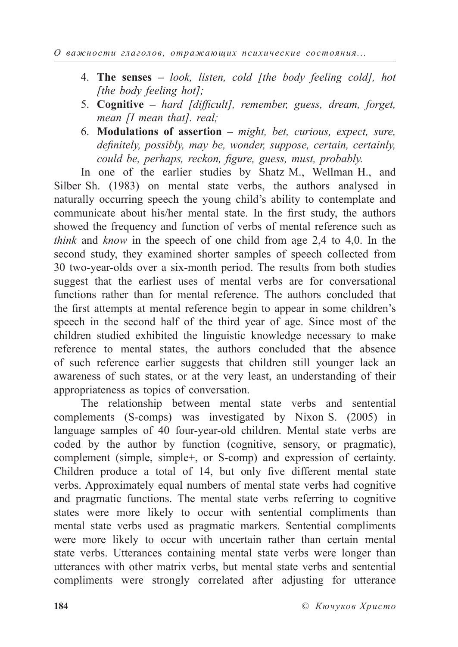- 4. **The senses** *look, listen, cold [the body feeling cold], hot [the body feeling hot];*
- 5. **Cognitive** *hard [difficult], remember, guess, dream, forget, mean [I mean that]. real;*
- 6. **Modulations of assertion** *might, bet, curious, expect, sure,*  definitely, possibly, may be, wonder, suppose, certain, certainly, *could be, perhaps, reckon, figure, guess, must, probably.*

In one of the earlier studies by Shatz M., Wellman H., and Silber Sh. (1983) on mental state verbs, the authors analysed in naturally occurring speech the young child's ability to contemplate and communicate about his/her mental state. In the first study, the authors showed the frequency and function of verbs of mental reference such as *think* and *know* in the speech of one child from age 2,4 to 4,0. In the second study, they examined shorter samples of speech collected from 30 two-year-olds over a six-month period. The results from both studies suggest that the earliest uses of mental verbs are for conversational functions rather than for mental reference. The authors concluded that the first attempts at mental reference begin to appear in some children's speech in the second half of the third year of age. Since most of the children studied exhibited the linguistic knowledge necessary to make reference to mental states, the authors concluded that the absence of such reference earlier suggests that children still younger lack an awareness of such states, or at the very least, an understanding of their appropriateness as topics of conversation.

The relationship between mental state verbs and sentential complements (S-comps) was investigated by Nixon S. (2005) in language samples of 40 four-year-old children. Mental state verbs are coded by the author by function (cognitive, sensory, or pragmatic), complement (simple, simple+, or S-comp) and expression of certainty. Children produce a total of 14, but only five different mental state verbs. Approximately equal numbers of mental state verbs had cognitive and pragmatic functions. The mental state verbs referring to cognitive states were more likely to occur with sentential compliments than mental state verbs used as pragmatic markers. Sentential compliments were more likely to occur with uncertain rather than certain mental state verbs. Utterances containing mental state verbs were longer than utterances with other matrix verbs, but mental state verbs and sentential compliments were strongly correlated after adjusting for utterance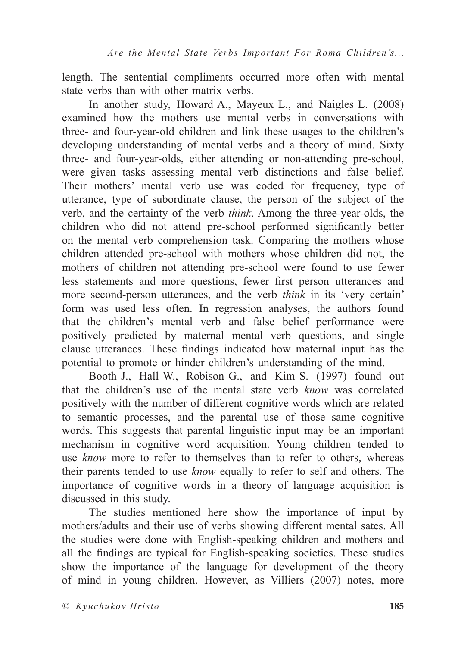length. The sentential compliments occurred more often with mental state verbs than with other matrix verbs.

In another study, Howard A., Mayeux L., and Naigles L. (2008) examined how the mothers use mental verbs in conversations with three- and four-year-old children and link these usages to the children's developing understanding of mental verbs and a theory of mind. Sixty three- and four-year-olds, either attending or non-attending pre-school, were given tasks assessing mental verb distinctions and false belief. Their mothers' mental verb use was coded for frequency, type of utterance, type of subordinate clause, the person of the subject of the verb, and the certainty of the verb *think*. Among the three-year-olds, the children who did not attend pre-school performed significantly better on the mental verb comprehension task. Comparing the mothers whose children attended pre-school with mothers whose children did not, the mothers of children not attending pre-school were found to use fewer less statements and more questions, fewer first person utterances and more second-person utterances, and the verb *think* in its 'very certain' form was used less often. In regression analyses, the authors found that the children's mental verb and false belief performance were positively predicted by maternal mental verb questions, and single clause utterances. These findings indicated how maternal input has the potential to promote or hinder children's understanding of the mind.

Booth J., Hall W., Robison G., and Kim S. (1997) found out that the children's use of the mental state verb *know* was correlated positively with the number of different cognitive words which are related to semantic processes, and the parental use of those same cognitive words. This suggests that parental linguistic input may be an important mechanism in cognitive word acquisition. Young children tended to use *know* more to refer to themselves than to refer to others, whereas their parents tended to use *know* equally to refer to self and others. The importance of cognitive words in a theory of language acquisition is discussed in this study.

The studies mentioned here show the importance of input by mothers/adults and their use of verbs showing different mental sates. All the studies were done with English-speaking children and mothers and all the findings are typical for English-speaking societies. These studies show the importance of the language for development of the theory of mind in young children. However, as Villiers (2007) notes, more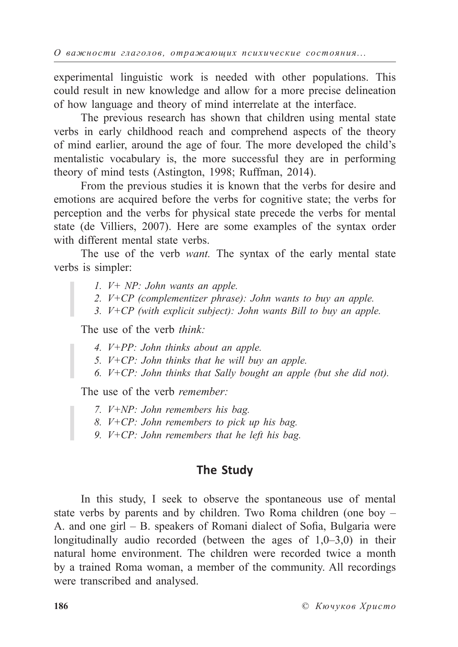experimental linguistic work is needed with other populations. This could result in new knowledge and allow for a more precise delineation of how language and theory of mind interrelate at the interface.

The previous research has shown that children using mental state verbs in early childhood reach and comprehend aspects of the theory of mind earlier, around the age of four. The more developed the child's mentalistic vocabulary is, the more successful they are in performing theory of mind tests (Astington, 1998; Ruffman, 2014).

From the previous studies it is known that the verbs for desire and emotions are acquired before the verbs for cognitive state; the verbs for perception and the verbs for physical state precede the verbs for mental state (de Villiers, 2007). Here are some examples of the syntax order with different mental state verbs.

The use of the verb *want.* The syntax of the early mental state verbs is simpler:

- *1. V+ NP: John wants an apple.*
- *2. V+CP (complementizer phrase): John wants to buy an apple.*
- *3. V+CP (with explicit subject): John wants Bill to buy an apple.*

The use of the verb *think:*

- *4. V+PP: John thinks about an apple.*
- *5. V+CP: John thinks that he will buy an apple.*
- *6. V+CP: John thinks that Sally bought an apple (but she did not).*

The use of the verb *remember:*

- *7. V+NP: John remembers his bag.*
- *8. V+CP: John remembers to pick up his bag.*
- *9. V+CP: John remembers that he left his bag.*

#### **The Study**

In this study, I seek to observe the spontaneous use of mental state verbs by parents and by children. Two Roma children (one boy – A. and one girl  $-$  B. speakers of Romani dialect of Sofia, Bulgaria were longitudinally audio recorded (between the ages of 1,0–3,0) in their natural home environment. The children were recorded twice a month by a trained Roma woman, a member of the community. All recordings were transcribed and analysed.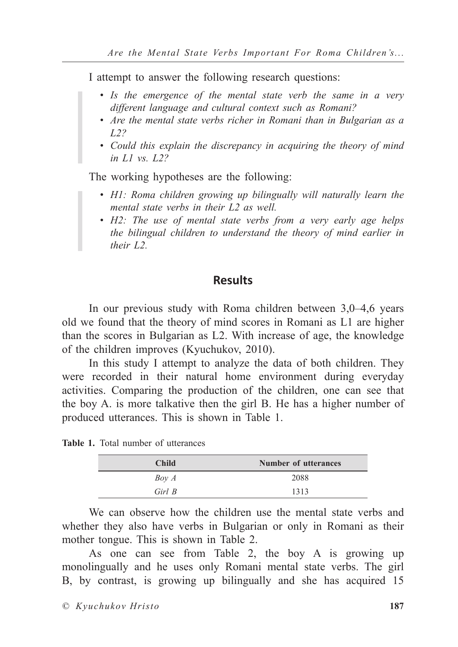I attempt to answer the following research questions:

- *Is the emergence of the mental state verb the same in a very different language and cultural context such as Romani?*
- *Are the mental state verbs richer in Romani than in Bulgarian as a L2?*
- *Could this explain the discrepancy in acquiring the theory of mind in L1 vs. L2?*

The working hypotheses are the following:

- *H1: Roma children growing up bilingually will naturally learn the mental state verbs in their L2 as well.*
- *H2: The use of mental state verbs from a very early age helps the bilingual children to understand the theory of mind earlier in their L2.*

### **Results**

In our previous study with Roma children between 3,0–4,6 years old we found that the theory of mind scores in Romani as L1 are higher than the scores in Bulgarian as L2. With increase of age, the knowledge of the children improves (Kyuchukov, 2010).

In this study I attempt to analyze the data of both children. They were recorded in their natural home environment during everyday activities. Comparing the production of the children, one can see that the boy A. is more talkative then the girl B. He has a higher number of produced utterances. This is shown in Table 1.

**Table 1.** Total number of utterances

| <b>Child</b> | Number of utterances |
|--------------|----------------------|
| Boy A        | 2088                 |
| Girl B       | 1313                 |

We can observe how the children use the mental state verbs and whether they also have verbs in Bulgarian or only in Romani as their mother tongue. This is shown in Table 2.

As one can see from Table 2, the boy A is growing up monolingually and he uses only Romani mental state verbs. The girl B, by contrast, is growing up bilingually and she has acquired 15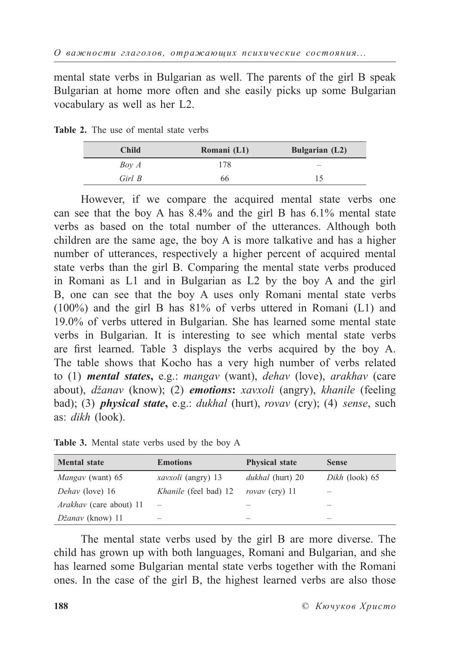mental state verbs in Bulgarian as well. The parents of the girl B speak Bulgarian at home more often and she easily picks up some Bulgarian vocabulary as well as her L2.

**Table 2.** The use of mental state verbs

| <b>Child</b> | Romani (L1) | <b>Bulgarian</b> (L2) |
|--------------|-------------|-----------------------|
| Boy A        | 178         |                       |
| Girl B       | 66          |                       |

However, if we compare the acquired mental state verbs one can see that the boy A has 8.4% and the girl B has 6.1% mental state verbs as based on the total number of the utterances. Although both children are the same age, the boy A is more talkative and has a higher number of utterances, respectively a higher percent of acquired mental state verbs than the girl B. Comparing the mental state verbs produced in Romani as L1 and in Bulgarian as L2 by the boy A and the girl B, one can see that the boy A uses only Romani mental state verbs (100%) and the girl B has 81% of verbs uttered in Romani (L1) and 19.0% of verbs uttered in Bulgarian. She has learned some mental state verbs in Bulgarian. It is interesting to see which mental state verbs are first learned. Table 3 displays the verbs acquired by the boy A. The table shows that Kocho has a very high number of verbs related to (1) *mental states***,** e.g.: *mangav* (want), *dehav* (love), *arakhav* (care about), *džanav* (know); (2) *emotions***:** *xavxoli* (angry), *khanile* (feeling bad); (3) *physical state***,** e.g.: *dukhal* (hurt), *rovav* (cry); (4) *sense*, such as: *dikh* (look).

| <b>Mental state</b>            | <b>Emotions</b>              | <b>Physical state</b>   | <b>Sense</b>         |
|--------------------------------|------------------------------|-------------------------|----------------------|
| <i>Mangay</i> (want) 65        | <i>xavxoli</i> (angry) 13    | <i>dukhal</i> (hurt) 20 | Dikh $($ look $)$ 65 |
| Dehav (love) 16                | <i>Khanile</i> (feel bad) 12 | rovay (cry) 11          |                      |
| <i>Arakhav</i> (care about) 11 |                              |                         |                      |
| Džanav (know) 11               |                              |                         |                      |

**Table 3.** Mental state verbs used by the boy A

The mental state verbs used by the girl B are more diverse. The child has grown up with both languages, Romani and Bulgarian, and she has learned some Bulgarian mental state verbs together with the Romani ones. In the case of the girl B, the highest learned verbs are also those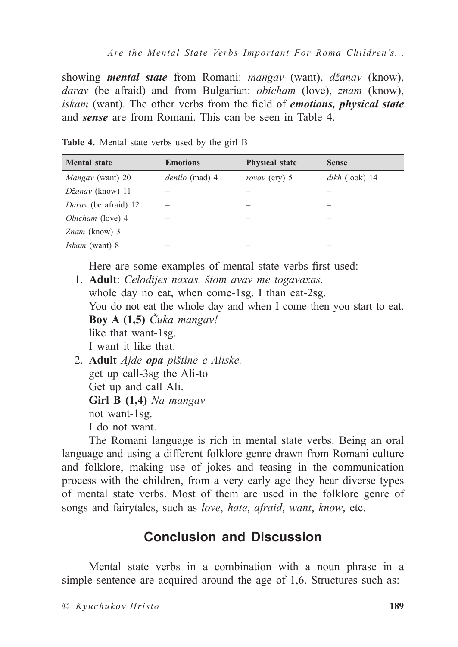showing *mental state* from Romani: *mangav* (want), *džanav* (know), *darav* (be afraid) and from Bulgarian: *obicham* (love), *znam* (know), *iskam* (want). The other verbs from the field of *emotions*, *physical state* and *sense* are from Romani. This can be seen in Table 4.

| <b>Mental state</b>   | <b>Emotions</b>       | <b>Physical state</b> | <b>Sense</b>     |
|-----------------------|-----------------------|-----------------------|------------------|
| Mangay (want) 20      | <i>denilo</i> (mad) 4 | rovay (cry) 5         | $dikh$ (look) 14 |
| Džanav (know) 11      |                       |                       |                  |
| Darav (be afraid) 12  |                       |                       |                  |
| Obicham (love) 4      |                       |                       |                  |
| Znam (know) 3         |                       |                       |                  |
| <i>Iskam</i> (want) 8 |                       |                       |                  |

**Table 4.** Mental state verbs used by the girl B

Here are some examples of mental state verbs first used:

- 1. **Adult**: *Celodijes naxas, štom avav me togavaxas.* whole day no eat, when come-1sg. I than eat-2sg. You do not eat the whole day and when I come then you start to eat. **Boy A (1,5)** *Čuka mangav!* like that want-1sg. I want it like that. 2. **Adult** *Ajde opa pištine e Aliske.*
	- get up call-3sg the Ali-to Get up and call Ali. **Girl B (1,4)** *Na mangav* not want-1sg. I do not want.

The Romani language is rich in mental state verbs. Being an oral language and using a different folklore genre drawn from Romani culture and folklore, making use of jokes and teasing in the communication process with the children, from a very early age they hear diverse types of mental state verbs. Most of them are used in the folklore genre of songs and fairytales, such as *love*, *hate*, *afraid*, *want*, *know*, etc.

## **Conclusion and Discussion**

Mental state verbs in a combination with a noun phrase in a simple sentence are acquired around the age of 1,6. Structures such as: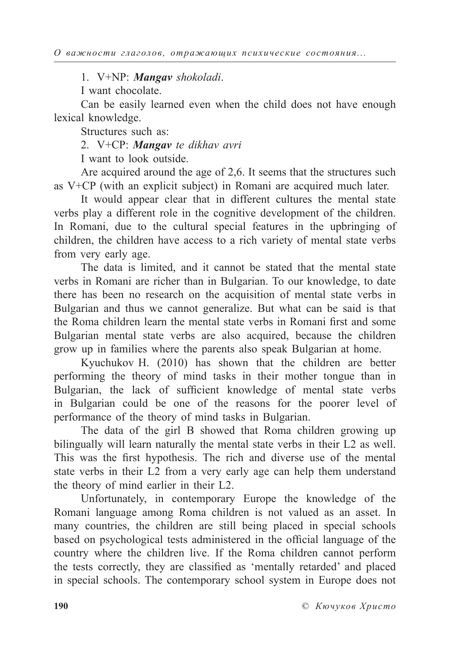1. V+NP: *Mangav shokoladi*.

I want chocolate.

Can be easily learned even when the child does not have enough lexical knowledge.

Structures such as:

2. V+CP: *Mangav te dikhav avri*

I want to look outside.

Are acquired around the age of 2,6. It seems that the structures such as V+CP (with an explicit subject) in Romani are acquired much later.

It would appear clear that in different cultures the mental state verbs play a different role in the cognitive development of the children. In Romani, due to the cultural special features in the upbringing of children, the children have access to a rich variety of mental state verbs from very early age.

The data is limited, and it cannot be stated that the mental state verbs in Romani are richer than in Bulgarian. To our knowledge, to date there has been no research on the acquisition of mental state verbs in Bulgarian and thus we cannot generalize. But what can be said is that the Roma children learn the mental state verbs in Romani first and some Bulgarian mental state verbs are also acquired, because the children grow up in families where the parents also speak Bulgarian at home.

Kyuchukov H. (2010) has shown that the children are better performing the theory of mind tasks in their mother tongue than in Bulgarian, the lack of sufficient knowledge of mental state verbs in Bulgarian could be one of the reasons for the poorer level of performance of the theory of mind tasks in Bulgarian.

The data of the girl B showed that Roma children growing up bilingually will learn naturally the mental state verbs in their L2 as well. This was the first hypothesis. The rich and diverse use of the mental state verbs in their L2 from a very early age can help them understand the theory of mind earlier in their L2.

Unfortunately, in contemporary Europe the knowledge of the Romani language among Roma children is not valued as an asset. In many countries, the children are still being placed in special schools based on psychological tests administered in the official language of the country where the children live. If the Roma children cannot perform the tests correctly, they are classified as 'mentally retarded' and placed in special schools. The contemporary school system in Europe does not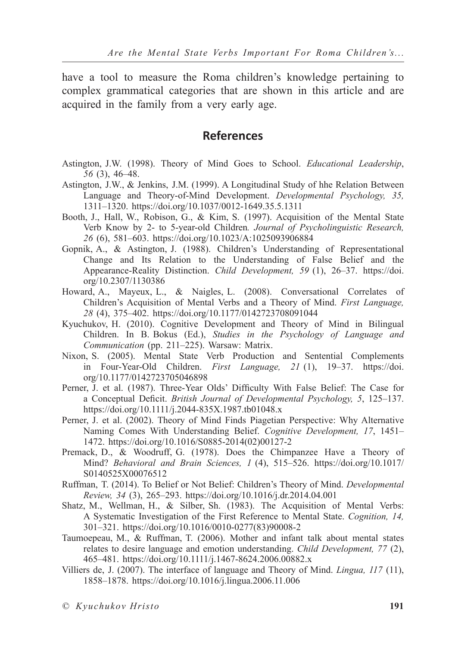have a tool to measure the Roma children's knowledge pertaining to complex grammatical categories that are shown in this article and are acquired in the family from a very early age.

### **References**

- Astington, J.W. (1998). Theory of Mind Goes to School. *Educational Leadership*, *56* (3), 46–48.
- Astington, J.W., & Jenkins, J.M. (1999). A Longitudinal Study of hhe Relation Between Language and Theory-of-Mind Development. *Developmental Psychology, 35,* 1311–1320. https://doi.org/10.1037/0012-1649.35.5.1311
- Booth, J., Hall, W., Robison, G., & Kim, S. (1997). Acquisition of the Mental State Verb Know by 2- to 5-year-old Children*. Journal of Psycholinguistic Research, 26* (6), 581–603. https://doi.org/10.1023/A:1025093906884
- Gopnik, A., & Astington, J. (1988). Children's Understanding of Representational Change and Its Relation to the Understanding of False Belief and the Appearance-Reality Distinction. *Child Development, 59* (1), 26–37. https://doi. org/10.2307/1130386
- Howard, A., Mayeux, L., & Naigles, L. (2008). Conversational Correlates of Children's Acquisition of Mental Verbs and a Theory of Mind. *First Language, 28* (4), 375–402. https://doi.org/10.1177/0142723708091044
- Kyuchukov, H. (2010). Cognitive Development and Theory of Mind in Bilingual Children. In B. Bokus (Ed.), *Studies in the Psychology of Language and Communication* (pp. 211–225). Warsaw: Matrix.
- Nixon, S. (2005). Mental State Verb Production and Sentential Complements in Four-Year-Old Children. *First Language, 21* (1), 19–37. https://doi. org/10.1177/0142723705046898
- Perner, J. et al. (1987). Three-Year Olds' Difficulty With False Belief: The Case for a Conceptual Deficit. *British Journal of Developmental Psychology, 5, 125–137.* https://doi.org/10.1111/j.2044-835X.1987.tb01048.x
- Perner, J. et al. (2002). Theory of Mind Finds Piagetian Perspective: Why Alternative Naming Comes With Understanding Belief. *Cognitive Development, 17*, 1451– 1472. https://doi.org/10.1016/S0885-2014(02)00127-2
- Premack, D., & Woodruff, G. (1978). Does the Chimpanzee Have a Theory of Mind? *Behavioral and Brain Sciences, 1* (4), 515–526. https://doi.org/10.1017/ S0140525X00076512
- Ruffman, T. (2014). To Belief or Not Belief: Children's Theory of Mind. *Developmental Review, 34* (3), 265–293. https://doi.org/10.1016/j.dr.2014.04.001
- Shatz, M., Wellman, H., & Silber, Sh. (1983). The Acquisition of Mental Verbs: A Systematic Investigation of the First Reference to Mental State. *Cognition, 14,* 301–321. https://doi.org/10.1016/0010-0277(83)90008-2
- Taumoepeau, M., & Ruffman, T. (2006). Mother and infant talk about mental states relates to desire language and emotion understanding. *Child Development, 77* (2), 465–481. https://doi.org/10.1111/j.1467-8624.2006.00882.x
- Villiers de, J. (2007). The interface of language and Theory of Mind. *Lingua, 117* (11), 1858–1878. https://doi.org/10.1016/j.lingua.2006.11.006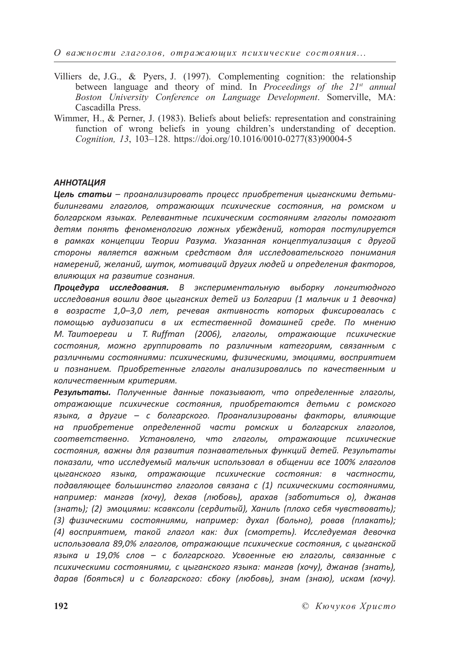*О важности глаголов, отражающих психические состояния...*

- Villiers de, J.G., & Pyers, J. (1997). Complementing cognition: the relationship between language and theory of mind. In *Proceedings of the 21st annual Boston University Conference on Language Development*. Somerville, MA: Cascadilla Press.
- Wimmer, H., & Perner, J. (1983). Beliefs about beliefs: representation and constraining function of wrong beliefs in young children's understanding of deception. *Cognition, 13*, 103–128. https://doi.org/10.1016/0010-0277(83)90004-5

#### *АННОТАЦИЯ*

*Цель статьи – проанализировать процесс приобретения цыганскими детьмибилингвами глаголов, отражающих психические состояния, на ромском и болгарском языках. Релевантные психическим состояниям глаголы помогают детям понять феноменологию ложных убеждений, которая постулируется в рамках концепции Теории Разума. Указанная концептуализация с другой стороны является важным средством для исследовательского понимания намерений, желаний, шуток, мотиваций других людей и определения факторов, влияющих на развитие сознания.*

*Процедура исследования. В экспериментальную выборку лонгитюдного исследования вошли двое цыганских детей из Болгарии (1 мальчик и 1 девочка) в возрасте 1,0–3,0 лет, речевая активность которых фиксировалась с помощью аудиозаписи в их естественной домашней среде. По мнению M. Taumoepeau и T. Ruffman (2006), глаголы, отражающие психические состояния, можно группировать по различным категориям, связанным с различными состояниями: психическими, физическими, эмоциями, восприятием и познанием. Приобретенные глаголы анализировались по качественным и количественным критериям.*

*Результаты. Полученные данные показывают, что определенные глаголы, отражающие психические состояния, приобретаются детьми с ромского языка, а другие – с болгарского. Проанализированы факторы, влияющие на приобретение определенной части ромских и болгарских глаголов, соответственно. Установлено, что глаголы, отражающие психические состояния, важны для развития познавательных функций детей. Результаты показали, что исследуемый мальчик использовал в общении все 100% глаголов цыганского языка, отражающие психические состояния: в частности, подавляющее большинство глаголов связана с (1) психическими состояниями, например: мангав (хочу), дехав (любовь), арахав (заботиться о), джанав (знать); (2) эмоциями: ксавксоли (сердитый), Ханиль (плохо себя чувствовать); (3) физическими состояниями, например: духал (больно), ровав (плакать); (4) восприятием, такой глагол как: дих (смотреть). Исследуемая девочка использовала 89,0% глаголов, отражающие психические состояния, с цыганской языка и 19,0% слов – с болгарского. Усвоенные ею глаголы, связанные с психическими состояниями, с цыганского языка: мангав (хочу), джанав (знать), дарав (бояться) и с болгарского: сбоку (любовь), знам (знаю), искам (хочу).*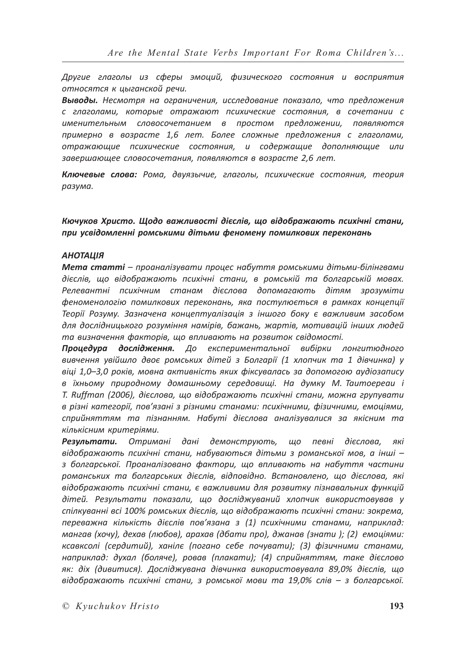*Другие глаголы из сферы эмоций, физического состояния и восприятия относятся к цыганской речи.*

*Выводы. Несмотря на ограничения, исследование показало, что предложения с глаголами, которые отражают психические состояния, в сочетании с именительным словосочетанием в простом предложении, появляются примерно в возрасте 1,6 лет. Более сложные предложения с глаголами, отражающие психические состояния, и содержащие дополняющие или завершающее словосочетания, появляются в возрасте 2,6 лет.*

*Ключевые слова: Рома, двуязычие, глаголы, психические состояния, теория разума.*

*Кючуков Христо. Щодо важливості дієслів, що відображають психічні стани, при усвідомленні ромськими дітьми феномену помилкових переконань*

#### *АНОТАЦІЯ*

*Мета статті – проаналізувати процес набуття ромськими дітьми-білінгвами дієслів, що відображають психічні стани, в ромській та болгарській мовах. Релевантні психічним станам дієслова допомагають дітям зрозуміти феноменологію помилкових переконань, яка постулюється в рамках концепції Теорії Розуму. Зазначена концептуалізація з іншого боку є важливим засобом для дослідницького розуміння намірів, бажань, жартів, мотивацій інших людей та визначення факторів, що впливають на розвиток свідомості.*

*Процедура дослідження. До експериментальної вибірки лонгитюдного вивчення увійшло двоє ромських дітей з Болгарії (1 хлопчик та 1 дівчинка) у віці 1,0–3,0 років, мовна активність яких фіксувалась за допомогою аудіозапису в їхньому природному домашньому середовищі. На думку M. Taumoepeau і T. Ruffman (2006), дієслова, що відображають психічні стани, можна групувати в різні категорії, пов'язані з різними станами: психічними, фізичними, емоціями, сприйняттям та пізнанням. Набуті дієслова аналізувалися за якісним та кількісним критеріями.*

*Результати. Отримані дані демонструють, що певні дієслова, які відображають психічні стани, набуваються дітьми з романської мов, а інші – з болгарської. Проаналізовано фактори, що впливають на набуття частини романських та болгарських дієслів, відповідно. Встановлено, що дієслова, які відображають психічні стани, є важливими для розвитку пізнавальних функцій дітей. Результати показали, що досліджуваний хлопчик використовував у спілкуванні всі 100% ромських дієслів, що відображають психічні стани: зокрема, переважна кількість дієслів пов'язана з (1) психічними станами, наприклад: мангав (хочу), дехав (любов), арахав (дбати про), джанав (знати ); (2) емоціями: ксавксолі (сердитий), ханілє (погано себе почувати); (3) фізичними станами, наприклад: духал (боляче), ровав (плакати); (4) сприйняттям, таке дієслово як: діх (дивитися). Досліджувана дівчинка використовувала 89,0% дієслів, що відображають психічні стани, з ромської мови та 19,0% слів – з болгарської.*